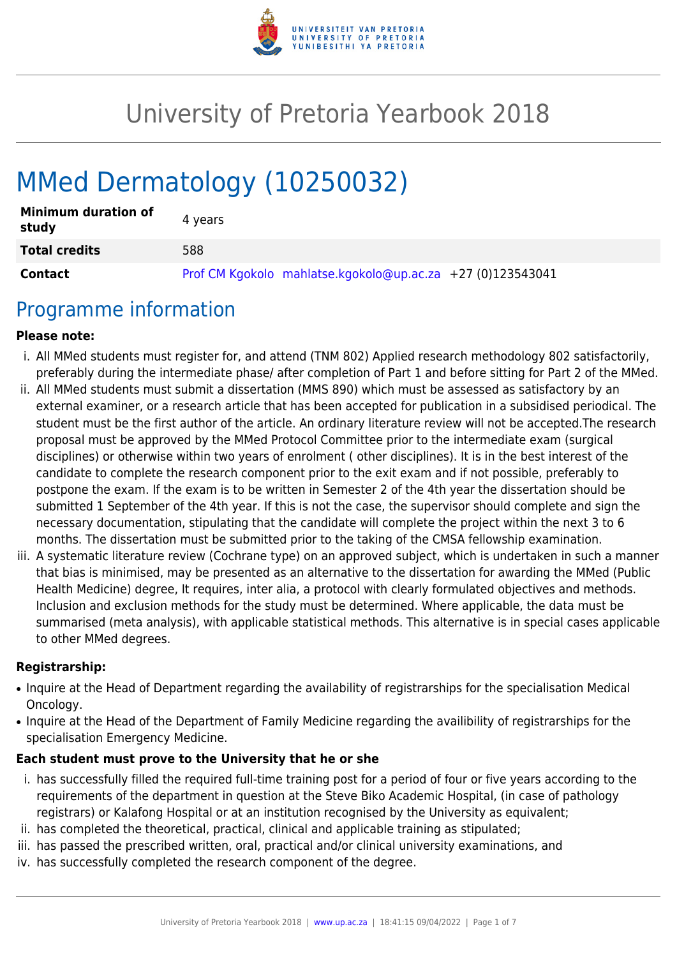

# University of Pretoria Yearbook 2018

# MMed Dermatology (10250032)

| <b>Minimum duration of</b><br>study | 4 vears                                                    |
|-------------------------------------|------------------------------------------------------------|
| <b>Total credits</b>                | 588                                                        |
| <b>Contact</b>                      | Prof CM Kgokolo mahlatse.kgokolo@up.ac.za +27 (0)123543041 |

## Programme information

#### **Please note:**

- i. All MMed students must register for, and attend (TNM 802) Applied research methodology 802 satisfactorily, preferably during the intermediate phase/ after completion of Part 1 and before sitting for Part 2 of the MMed.
- ii. All MMed students must submit a dissertation (MMS 890) which must be assessed as satisfactory by an external examiner, or a research article that has been accepted for publication in a subsidised periodical. The student must be the first author of the article. An ordinary literature review will not be accepted.The research proposal must be approved by the MMed Protocol Committee prior to the intermediate exam (surgical disciplines) or otherwise within two years of enrolment ( other disciplines). It is in the best interest of the candidate to complete the research component prior to the exit exam and if not possible, preferably to postpone the exam. If the exam is to be written in Semester 2 of the 4th year the dissertation should be submitted 1 September of the 4th year. If this is not the case, the supervisor should complete and sign the necessary documentation, stipulating that the candidate will complete the project within the next 3 to 6 months. The dissertation must be submitted prior to the taking of the CMSA fellowship examination.
- iii. A systematic literature review (Cochrane type) on an approved subject, which is undertaken in such a manner that bias is minimised, may be presented as an alternative to the dissertation for awarding the MMed (Public Health Medicine) degree, It requires, inter alia, a protocol with clearly formulated objectives and methods. Inclusion and exclusion methods for the study must be determined. Where applicable, the data must be summarised (meta analysis), with applicable statistical methods. This alternative is in special cases applicable to other MMed degrees.

#### **Registrarship:**

- Inquire at the Head of Department regarding the availability of registrarships for the specialisation Medical Oncology.
- Inquire at the Head of the Department of Family Medicine regarding the availibility of registrarships for the specialisation Emergency Medicine.

#### **Each student must prove to the University that he or she**

- i. has successfully filled the required full-time training post for a period of four or five years according to the requirements of the department in question at the Steve Biko Academic Hospital, (in case of pathology registrars) or Kalafong Hospital or at an institution recognised by the University as equivalent;
- ii. has completed the theoretical, practical, clinical and applicable training as stipulated;
- iii. has passed the prescribed written, oral, practical and/or clinical university examinations, and
- iv. has successfully completed the research component of the degree.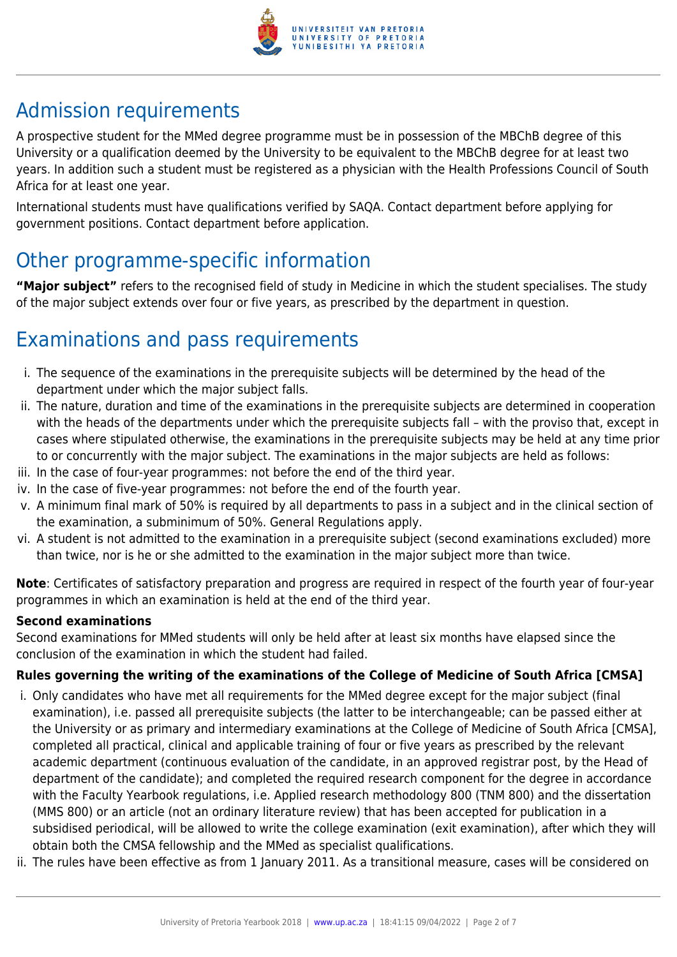

# Admission requirements

A prospective student for the MMed degree programme must be in possession of the MBChB degree of this University or a qualification deemed by the University to be equivalent to the MBChB degree for at least two years. In addition such a student must be registered as a physician with the Health Professions Council of South Africa for at least one year.

International students must have qualifications verified by SAQA. Contact department before applying for government positions. Contact department before application.

# Other programme-specific information

**"Major subject"** refers to the recognised field of study in Medicine in which the student specialises. The study of the major subject extends over four or five years, as prescribed by the department in question.

# Examinations and pass requirements

- i. The sequence of the examinations in the prerequisite subjects will be determined by the head of the department under which the major subject falls.
- ii. The nature, duration and time of the examinations in the prerequisite subjects are determined in cooperation with the heads of the departments under which the prerequisite subjects fall – with the proviso that, except in cases where stipulated otherwise, the examinations in the prerequisite subjects may be held at any time prior to or concurrently with the major subject. The examinations in the major subjects are held as follows:
- iii. In the case of four-year programmes: not before the end of the third year.
- iv. In the case of five-year programmes: not before the end of the fourth year.
- v. A minimum final mark of 50% is required by all departments to pass in a subject and in the clinical section of the examination, a subminimum of 50%. General Regulations apply.
- vi. A student is not admitted to the examination in a prerequisite subject (second examinations excluded) more than twice, nor is he or she admitted to the examination in the major subject more than twice.

**Note**: Certificates of satisfactory preparation and progress are required in respect of the fourth year of four-year programmes in which an examination is held at the end of the third year.

#### **Second examinations**

Second examinations for MMed students will only be held after at least six months have elapsed since the conclusion of the examination in which the student had failed.

### **Rules governing the writing of the examinations of the College of Medicine of South Africa [CMSA]**

- i. Only candidates who have met all requirements for the MMed degree except for the major subject (final examination), i.e. passed all prerequisite subjects (the latter to be interchangeable; can be passed either at the University or as primary and intermediary examinations at the College of Medicine of South Africa [CMSA], completed all practical, clinical and applicable training of four or five years as prescribed by the relevant academic department (continuous evaluation of the candidate, in an approved registrar post, by the Head of department of the candidate); and completed the required research component for the degree in accordance with the Faculty Yearbook regulations, i.e. Applied research methodology 800 (TNM 800) and the dissertation (MMS 800) or an article (not an ordinary literature review) that has been accepted for publication in a subsidised periodical, will be allowed to write the college examination (exit examination), after which they will obtain both the CMSA fellowship and the MMed as specialist qualifications.
- ii. The rules have been effective as from 1 January 2011. As a transitional measure, cases will be considered on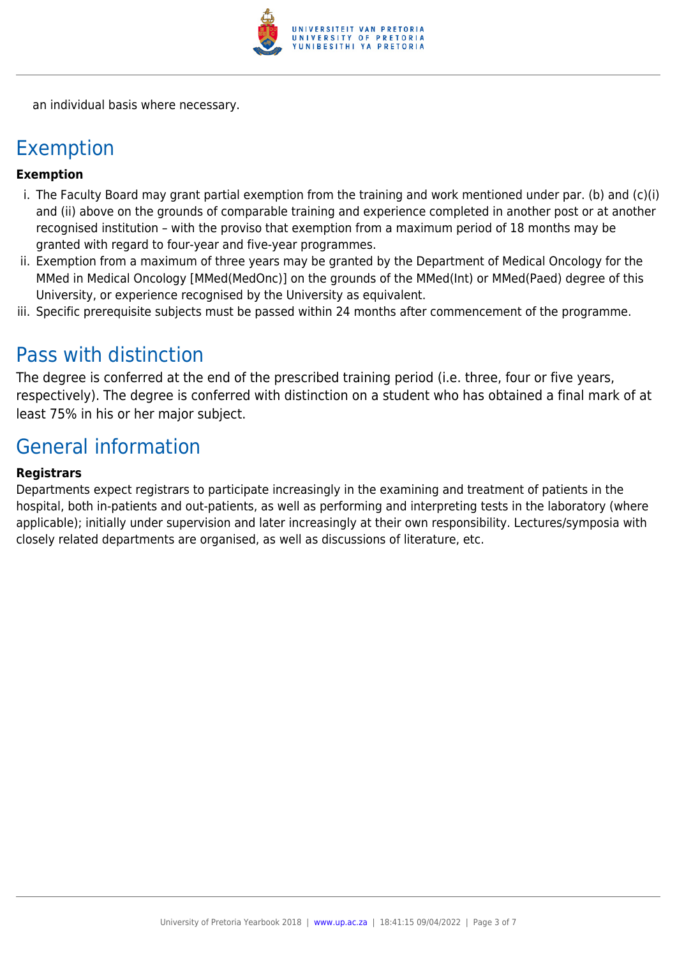

an individual basis where necessary.

### Exemption

#### **Exemption**

- i. The Faculty Board may grant partial exemption from the training and work mentioned under par. (b) and (c)(i) and (ii) above on the grounds of comparable training and experience completed in another post or at another recognised institution – with the proviso that exemption from a maximum period of 18 months may be granted with regard to four-year and five-year programmes.
- ii. Exemption from a maximum of three years may be granted by the Department of Medical Oncology for the MMed in Medical Oncology [MMed(MedOnc)] on the grounds of the MMed(Int) or MMed(Paed) degree of this University, or experience recognised by the University as equivalent.
- iii. Specific prerequisite subjects must be passed within 24 months after commencement of the programme.

### Pass with distinction

The degree is conferred at the end of the prescribed training period (i.e. three, four or five years, respectively). The degree is conferred with distinction on a student who has obtained a final mark of at least 75% in his or her major subject.

### General information

#### **Registrars**

Departments expect registrars to participate increasingly in the examining and treatment of patients in the hospital, both in-patients and out-patients, as well as performing and interpreting tests in the laboratory (where applicable); initially under supervision and later increasingly at their own responsibility. Lectures/symposia with closely related departments are organised, as well as discussions of literature, etc.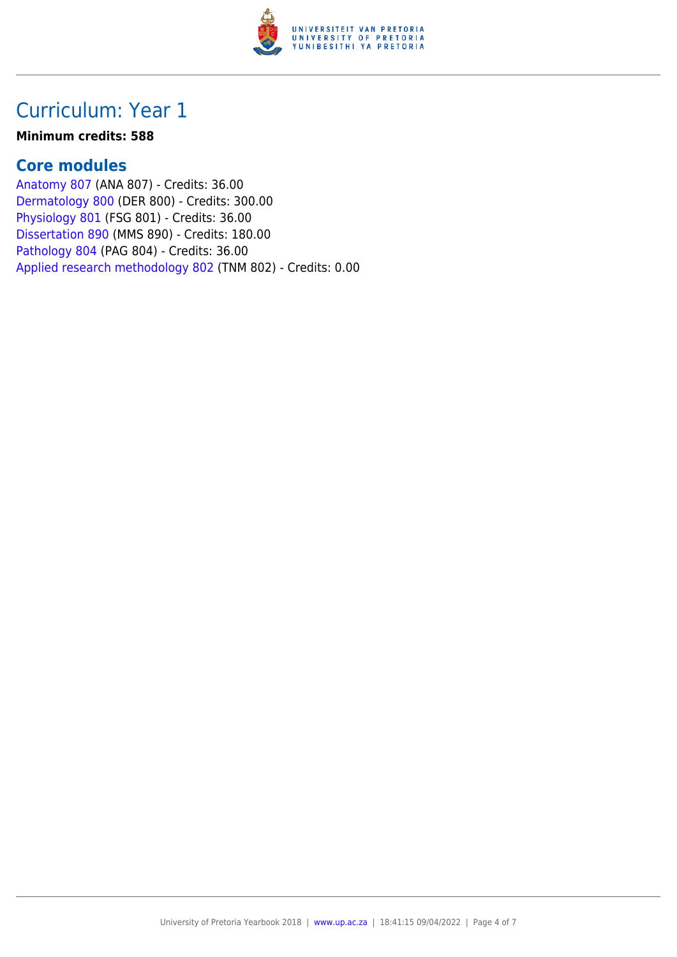

## Curriculum: Year 1

#### **Minimum credits: 588**

### **Core modules**

[Anatomy 807](https://www.up.ac.za/faculty-of-education/yearbooks/2018/modules/view/ANA 807) (ANA 807) - Credits: 36.00 [Dermatology 800](https://www.up.ac.za/faculty-of-education/yearbooks/2018/modules/view/DER 800) (DER 800) - Credits: 300.00 [Physiology 801](https://www.up.ac.za/faculty-of-education/yearbooks/2018/modules/view/FSG 801) (FSG 801) - Credits: 36.00 [Dissertation 890](https://www.up.ac.za/faculty-of-education/yearbooks/2018/modules/view/MMS 890) (MMS 890) - Credits: 180.00 [Pathology 804](https://www.up.ac.za/faculty-of-education/yearbooks/2018/modules/view/PAG 804) (PAG 804) - Credits: 36.00 [Applied research methodology 802](https://www.up.ac.za/faculty-of-education/yearbooks/2018/modules/view/TNM 802) (TNM 802) - Credits: 0.00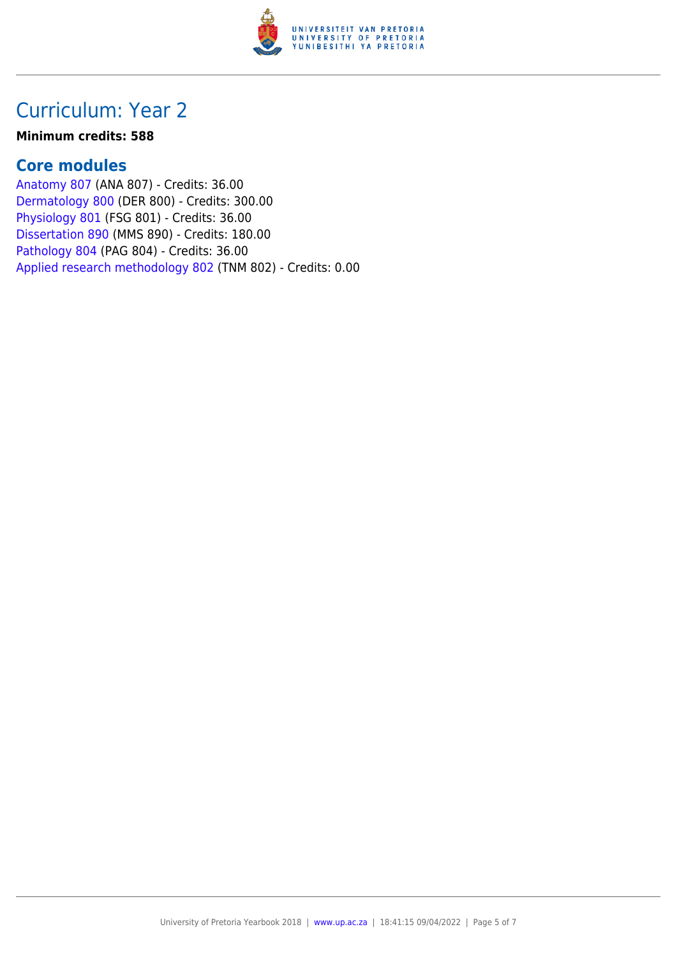

## Curriculum: Year 2

#### **Minimum credits: 588**

### **Core modules**

[Anatomy 807](https://www.up.ac.za/faculty-of-education/yearbooks/2018/modules/view/ANA 807) (ANA 807) - Credits: 36.00 [Dermatology 800](https://www.up.ac.za/faculty-of-education/yearbooks/2018/modules/view/DER 800) (DER 800) - Credits: 300.00 [Physiology 801](https://www.up.ac.za/faculty-of-education/yearbooks/2018/modules/view/FSG 801) (FSG 801) - Credits: 36.00 [Dissertation 890](https://www.up.ac.za/faculty-of-education/yearbooks/2018/modules/view/MMS 890) (MMS 890) - Credits: 180.00 [Pathology 804](https://www.up.ac.za/faculty-of-education/yearbooks/2018/modules/view/PAG 804) (PAG 804) - Credits: 36.00 [Applied research methodology 802](https://www.up.ac.za/faculty-of-education/yearbooks/2018/modules/view/TNM 802) (TNM 802) - Credits: 0.00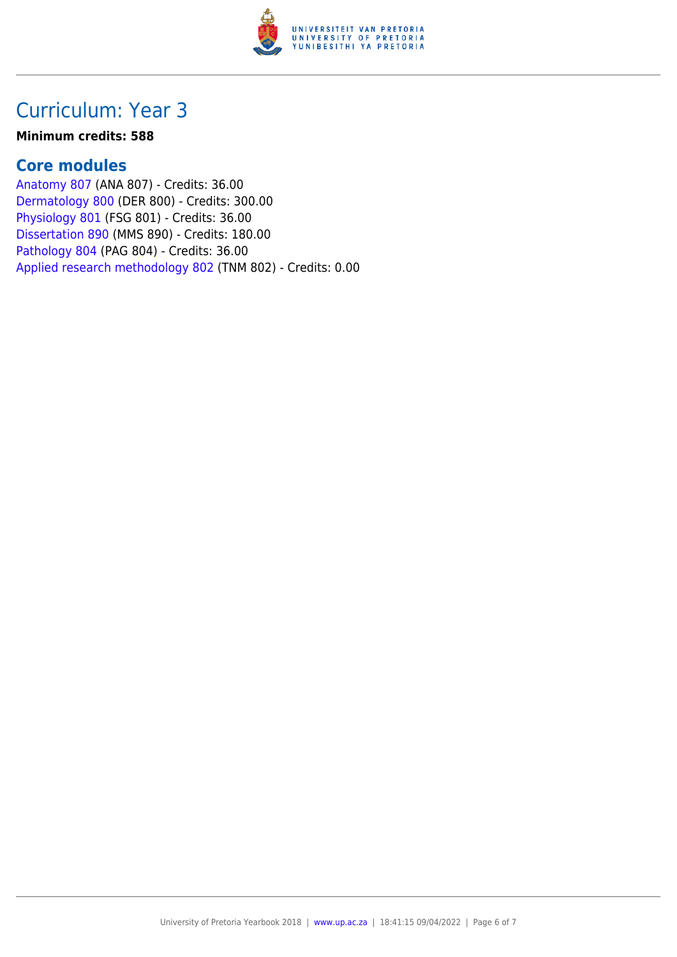

## Curriculum: Year 3

#### **Minimum credits: 588**

### **Core modules**

[Anatomy 807](https://www.up.ac.za/faculty-of-education/yearbooks/2018/modules/view/ANA 807) (ANA 807) - Credits: 36.00 [Dermatology 800](https://www.up.ac.za/faculty-of-education/yearbooks/2018/modules/view/DER 800) (DER 800) - Credits: 300.00 [Physiology 801](https://www.up.ac.za/faculty-of-education/yearbooks/2018/modules/view/FSG 801) (FSG 801) - Credits: 36.00 [Dissertation 890](https://www.up.ac.za/faculty-of-education/yearbooks/2018/modules/view/MMS 890) (MMS 890) - Credits: 180.00 [Pathology 804](https://www.up.ac.za/faculty-of-education/yearbooks/2018/modules/view/PAG 804) (PAG 804) - Credits: 36.00 [Applied research methodology 802](https://www.up.ac.za/faculty-of-education/yearbooks/2018/modules/view/TNM 802) (TNM 802) - Credits: 0.00